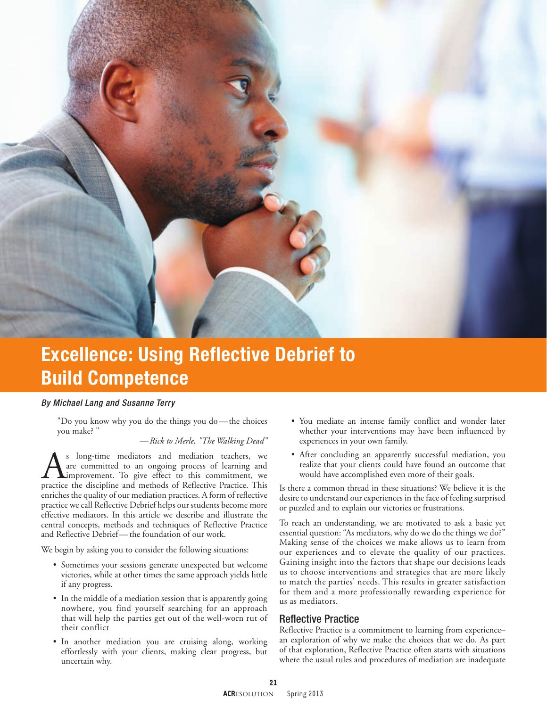

# Excellence: Using Reflective Debrief to Build Competence

#### *By Michael Lang and Susanne Terry*

"Do you know why you do the things you do—the choices you make? "

#### *—Rick to Merle, "The Walking Dead"*

As long-time mediators and mediation teachers, we<br>are committed to an ongoing process of learning and<br>improvement. To give effect to this commitment, we<br>practice the discipline and methods of Reflective Practice. This are committed to an ongoing process of learning and improvement. To give effect to this commitment, we practice the discipline and methods of Reflective Practice. This enriches the quality of our mediation practices. A form of reflective practice we call Reflective Debrief helps our students become more effective mediators. In this article we describe and illustrate the central concepts, methods and techniques of Reflective Practice and Reflective Debrief—the foundation of our work.

We begin by asking you to consider the following situations:

- Sometimes your sessions generate unexpected but welcome victories, while at other times the same approach yields little if any progress.
- In the middle of a mediation session that is apparently going nowhere, you find yourself searching for an approach that will help the parties get out of the well-worn rut of their conflict
- In another mediation you are cruising along, working effortlessly with your clients, making clear progress, but uncertain why.
- You mediate an intense family conflict and wonder later whether your interventions may have been influenced by experiences in your own family.
- After concluding an apparently successful mediation, you realize that your clients could have found an outcome that would have accomplished even more of their goals.

Is there a common thread in these situations? We believe it is the desire to understand our experiences in the face of feeling surprised or puzzled and to explain our victories or frustrations.

To reach an understanding, we are motivated to ask a basic yet essential question: "As mediators, why do we do the things we do?" Making sense of the choices we make allows us to learn from our experiences and to elevate the quality of our practices. Gaining insight into the factors that shape our decisions leads us to choose interventions and strategies that are more likely to match the parties' needs. This results in greater satisfaction for them and a more professionally rewarding experience for us as mediators.

### Reflective Practice

Reflective Practice is a commitment to learning from experience– an exploration of why we make the choices that we do. As part of that exploration, Reflective Practice often starts with situations where the usual rules and procedures of mediation are inadequate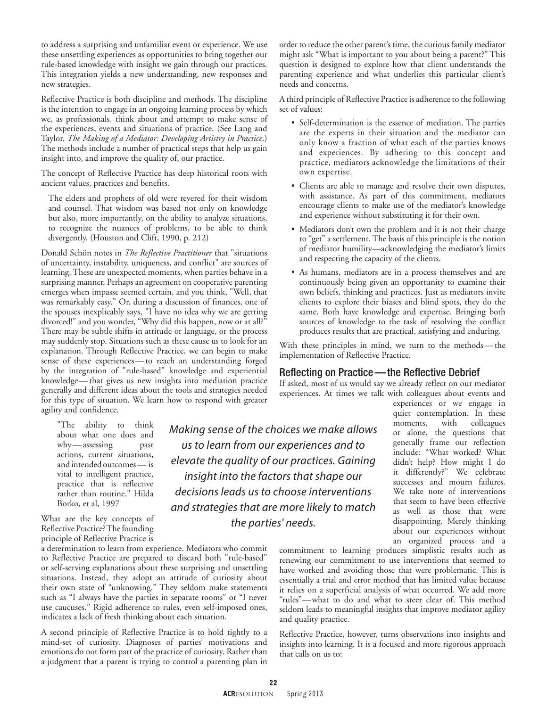to address a surprising and unfamiliar event or experience. We use these unsettling experiences as opportunities to bring together our rule-based knowledge with insight we gain through our practices. This integration yields a new understanding, new responses and new strategies.

Reflective Practice is both discipline and methods. The discipline is the intention to engage in an ongoing learning process by which we, as professionals, think about and attempt to make sense of the experiences, events and situations of practice. (See Lang and Taylor, *The Making of a Mediator: Developing Artistry in Practice*.) The methods include a number of practical steps that help us gain insight into, and improve the quality of, our practice.

The concept of Reflective Practice has deep historical roots with ancient values, practices and benefits.

The elders and prophets of old were revered for their wisdom and counsel. That wisdom was based not only on knowledge but also, more importantly, on the ability to analyze situations, to recognize the nuances of problems, to be able to think divergently. (Houston and Clift, 1990, p. 212)

Donald Schön notes in *The Reflective Practitioner* that "situations of uncertainty, instability, uniqueness, and conflict" are sources of learning. These are unexpected moments, when parties behave in a surprising manner. Perhaps an agreement on cooperative parenting emerges when impasse seemed certain, and you think, "Well, that was remarkably easy." Or, during a discussion of finances, one of the spouses inexplicably says, "I have no idea why we are getting divorced!" and you wonder, "Why did this happen, now or at all?" There may be subtle shifts in attitude or language, or the process may suddenly stop. Situations such as these cause us to look for an explanation. Through Reflective Practice, we can begin to make sense of these experiences—to reach an understanding forged by the integration of "rule-based" knowledge and experiential knowledge— that gives us new insights into mediation practice generally and different ideas about the tools and strategies needed for this type of situation. We learn how to respond with greater agility and confidence.

"The ability to think about what one does and why—assessing past actions, current situations, and intended outcomes— is vital to intelligent practice, practice that is reflective rather than routine." Hilda Borko, et al, 1997

What are the key concepts of Reflective Practice? The founding principle of Reflective Practice is

a determination to learn from experience. Mediators who commit to Reflective Practice are prepared to discard both "rule-based" or self-serving explanations about these surprising and unsettling situations. Instead, they adopt an attitude of curiosity about their own state of "unknowing." They seldom make statements such as "I always have the parties in separate rooms" or "I never use caucuses." Rigid adherence to rules, even self-imposed ones, indicates a lack of fresh thinking about each situation.

A second principle of Reflective Practice is to hold tightly to a mind-set of curiosity. Diagnoses of parties' motivations and emotions do not form part of the practice of curiosity. Rather than a judgment that a parent is trying to control a parenting plan in

parenting experience and what underlies this particular client's needs and concerns. A third principle of Reflective Practice is adherence to the following set of values:

• Self-determination is the essence of mediation. The parties are the experts in their situation and the mediator can only know a fraction of what each of the parties knows and experiences. By adhering to this concept and practice, mediators acknowledge the limitations of their own expertise.

order to reduce the other parent's time, the curious family mediator might ask "What is important to you about being a parent?" This question is designed to explore how that client understands the

- Clients are able to manage and resolve their own disputes, with assistance. As part of this commitment, mediators encourage clients to make use of the mediator's knowledge and experience without substituting it for their own.
- Mediators don't own the problem and it is not their charge to "get" a settlement. The basis of this principle is the notion of mediator humility—acknowledging the mediator's limits and respecting the capacity of the clients.
- As humans, mediators are in a process themselves and are continuously being given an opportunity to examine their own beliefs, thinking and practices. Just as mediators invite clients to explore their biases and blind spots, they do the same. Both have knowledge and expertise. Bringing both sources of knowledge to the task of resolving the conflict produces results that are practical, satisfying and enduring.

With these principles in mind, we turn to the methods—the implementation of Reflective Practice.

## Reflecting on Practice—the Reflective Debrief

If asked, most of us would say we already reflect on our mediator experiences. At times we talk with colleagues about events and

experiences or we engage in quiet contemplation. In these moments, with colleagues or alone, the questions that generally frame our reflection include: "What worked? What didn't help? How might I do it differently?" We celebrate successes and mourn failures. We take note of interventions that seem to have been effective as well as those that were disappointing. Merely thinking about our experiences without an organized process and a

commitment to learning produces simplistic results such as renewing our commitment to use interventions that seemed to have worked and avoiding those that were problematic. This is essentially a trial and error method that has limited value because it relies on a superficial analysis of what occurred. We add more "rules"—what to do and what to steer clear of. This method seldom leads to meaningful insights that improve mediator agility and quality practice.

Reflective Practice, however, turns observations into insights and insights into learning. It is a focused and more rigorous approach that calls on us to:

*Making sense of the choices we make allows us to learn from our experiences and to elevate the quality of our practices. Gaining insight into the factors that shape our decisions leads us to choose interventions and strategies that are more likely to match the parties' needs.*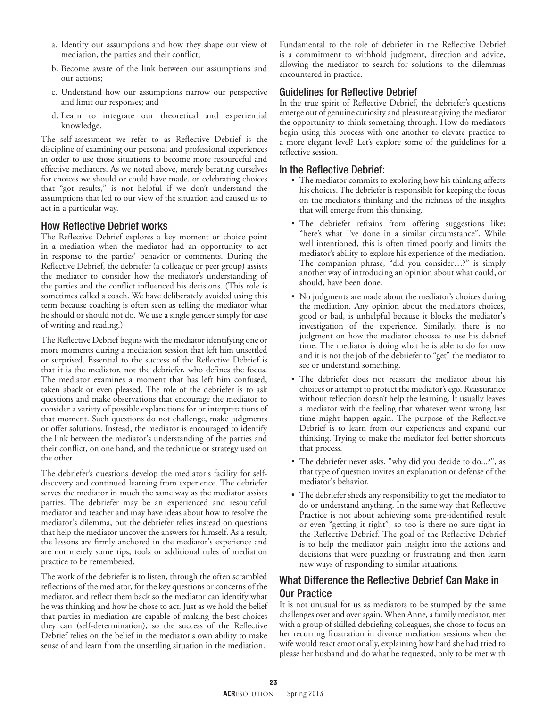- a. Identify our assumptions and how they shape our view of mediation, the parties and their conflict;
- b. Become aware of the link between our assumptions and our actions;
- c. Understand how our assumptions narrow our perspective and limit our responses; and
- d. Learn to integrate our theoretical and experiential knowledge.

The self-assessment we refer to as Reflective Debrief is the discipline of examining our personal and professional experiences in order to use those situations to become more resourceful and effective mediators. As we noted above, merely berating ourselves for choices we should or could have made, or celebrating choices that "got results," is not helpful if we don't understand the assumptions that led to our view of the situation and caused us to act in a particular way.

# How Reflective Debrief works

The Reflective Debrief explores a key moment or choice point in a mediation when the mediator had an opportunity to act in response to the parties' behavior or comments. During the Reflective Debrief, the debriefer (a colleague or peer group) assists the mediator to consider how the mediator's understanding of the parties and the conflict influenced his decisions. (This role is sometimes called a coach. We have deliberately avoided using this term because coaching is often seen as telling the mediator what he should or should not do. We use a single gender simply for ease of writing and reading.)

The Reflective Debrief begins with the mediator identifying one or more moments during a mediation session that left him unsettled or surprised. Essential to the success of the Reflective Debrief is that it is the mediator, not the debriefer, who defines the focus. The mediator examines a moment that has left him confused, taken aback or even pleased. The role of the debriefer is to ask questions and make observations that encourage the mediator to consider a variety of possible explanations for or interpretations of that moment. Such questions do not challenge, make judgments or offer solutions. Instead, the mediator is encouraged to identify the link between the mediator's understanding of the parties and their conflict, on one hand, and the technique or strategy used on the other.

The debriefer's questions develop the mediator's facility for selfdiscovery and continued learning from experience. The debriefer serves the mediator in much the same way as the mediator assists parties. The debriefer may be an experienced and resourceful mediator and teacher and may have ideas about how to resolve the mediator's dilemma, but the debriefer relies instead on questions that help the mediator uncover the answers for himself. As a result, the lessons are firmly anchored in the mediator's experience and are not merely some tips, tools or additional rules of mediation practice to be remembered.

The work of the debriefer is to listen, through the often scrambled reflections of the mediator, for the key questions or concerns of the mediator, and reflect them back so the mediator can identify what he was thinking and how he chose to act. Just as we hold the belief that parties in mediation are capable of making the best choices they can (self-determination), so the success of the Reflective Debrief relies on the belief in the mediator's own ability to make sense of and learn from the unsettling situation in the mediation.

Fundamental to the role of debriefer in the Reflective Debrief is a commitment to withhold judgment, direction and advice, allowing the mediator to search for solutions to the dilemmas encountered in practice.

# Guidelines for Reflective Debrief

In the true spirit of Reflective Debrief, the debriefer's questions emerge out of genuine curiosity and pleasure at giving the mediator the opportunity to think something through. How do mediators begin using this process with one another to elevate practice to a more elegant level? Let's explore some of the guidelines for a reflective session.

## In the Reflective Debrief:

- The mediator commits to exploring how his thinking affects his choices. The debriefer is responsible for keeping the focus on the mediator's thinking and the richness of the insights that will emerge from this thinking.
- The debriefer refrains from offering suggestions like: "here's what I've done in a similar circumstance". While well intentioned, this is often timed poorly and limits the mediator's ability to explore his experience of the mediation. The companion phrase, "did you consider…?" is simply another way of introducing an opinion about what could, or should, have been done.
- No judgments are made about the mediator's choices during the mediation. Any opinion about the mediator's choices, good or bad, is unhelpful because it blocks the mediator's investigation of the experience. Similarly, there is no judgment on how the mediator chooses to use his debrief time. The mediator is doing what he is able to do for now and it is not the job of the debriefer to "get" the mediator to see or understand something.
- The debriefer does not reassure the mediator about his choices or attempt to protect the mediator's ego. Reassurance without reflection doesn't help the learning. It usually leaves a mediator with the feeling that whatever went wrong last time might happen again. The purpose of the Reflective Debrief is to learn from our experiences and expand our thinking. Trying to make the mediator feel better shortcuts that process.
- The debriefer never asks, "why did you decide to do...?", as that type of question invites an explanation or defense of the mediator's behavior.
- The debriefer sheds any responsibility to get the mediator to do or understand anything. In the same way that Reflective Practice is not about achieving some pre-identified result or even "getting it right", so too is there no sure right in the Reflective Debrief. The goal of the Reflective Debrief is to help the mediator gain insight into the actions and decisions that were puzzling or frustrating and then learn new ways of responding to similar situations.

# What Difference the Reflective Debrief Can Make in Our Practice

It is not unusual for us as mediators to be stumped by the same challenges over and over again. When Anne, a family mediator, met with a group of skilled debriefing colleagues, she chose to focus on her recurring frustration in divorce mediation sessions when the wife would react emotionally, explaining how hard she had tried to please her husband and do what he requested, only to be met with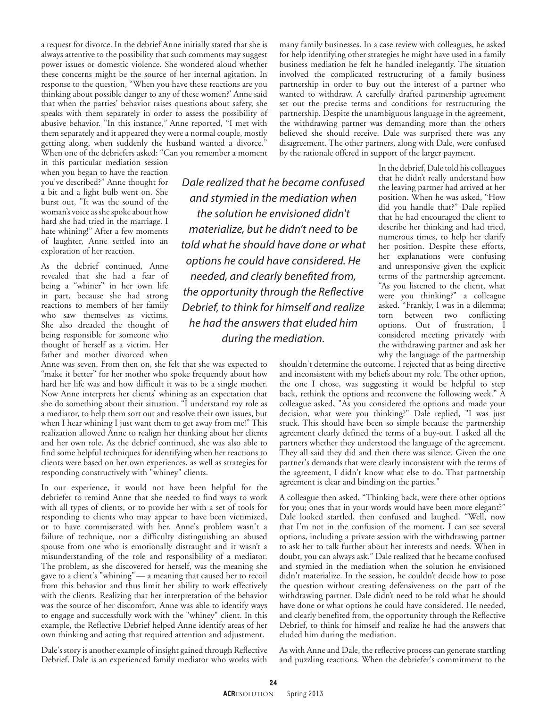a request for divorce. In the debrief Anne initially stated that she is always attentive to the possibility that such comments may suggest power issues or domestic violence. She wondered aloud whether these concerns might be the source of her internal agitation. In response to the question, "When you have these reactions are you thinking about possible danger to any of these women?' Anne said that when the parties' behavior raises questions about safety, she speaks with them separately in order to assess the possibility of abusive behavior. "In this instance," Anne reported, "I met with them separately and it appeared they were a normal couple, mostly getting along, when suddenly the husband wanted a divorce." When one of the debriefers asked: "Can you remember a moment

in this particular mediation session when you began to have the reaction you've described?" Anne thought for a bit and a light bulb went on. She burst out, "It was the sound of the woman's voice as she spoke about how hard she had tried in the marriage. I hate whining!" After a few moments of laughter, Anne settled into an exploration of her reaction.

As the debrief continued, Anne revealed that she had a fear of being a "whiner" in her own life in part, because she had strong reactions to members of her family who saw themselves as victims. She also dreaded the thought of being responsible for someone who thought of herself as a victim. Her father and mother divorced when

Anne was seven. From then on, she felt that she was expected to "make it better" for her mother who spoke frequently about how hard her life was and how difficult it was to be a single mother. Now Anne interprets her clients' whining as an expectation that she do something about their situation. "I understand my role as a mediator, to help them sort out and resolve their own issues, but when I hear whining I just want them to get away from me!" This realization allowed Anne to realign her thinking about her clients and her own role. As the debrief continued, she was also able to find some helpful techniques for identifying when her reactions to clients were based on her own experiences, as well as strategies for responding constructively with "whiney" clients.

In our experience, it would not have been helpful for the debriefer to remind Anne that she needed to find ways to work with all types of clients, or to provide her with a set of tools for responding to clients who may appear to have been victimized, or to have commiserated with her. Anne's problem wasn't a failure of technique, nor a difficulty distinguishing an abused spouse from one who is emotionally distraught and it wasn't a misunderstanding of the role and responsibility of a mediator. The problem, as she discovered for herself, was the meaning she gave to a client's "whining"— a meaning that caused her to recoil from this behavior and thus limit her ability to work effectively with the clients. Realizing that her interpretation of the behavior was the source of her discomfort, Anne was able to identify ways to engage and successfully work with the "whiney" client. In this example, the Reflective Debrief helped Anne identify areas of her own thinking and acting that required attention and adjustment.

Dale's story is another example of insight gained through Reflective Debrief. Dale is an experienced family mediator who works with

*Dale realized that he became confused and stymied in the mediation when the solution he envisioned didn't materialize, but he didn't need to be told what he should have done or what options he could have considered. He needed, and clearly benefited from, the opportunity through the Reflective Debrief, to think for himself and realize he had the answers that eluded him during the mediation.*

many family businesses. In a case review with colleagues, he asked for help identifying other strategies he might have used in a family business mediation he felt he handled inelegantly. The situation involved the complicated restructuring of a family business partnership in order to buy out the interest of a partner who wanted to withdraw. A carefully drafted partnership agreement set out the precise terms and conditions for restructuring the partnership. Despite the unambiguous language in the agreement, the withdrawing partner was demanding more than the others believed she should receive. Dale was surprised there was any disagreement. The other partners, along with Dale, were confused by the rationale offered in support of the larger payment.

> In the debrief, Dale told his colleagues that he didn't really understand how the leaving partner had arrived at her position. When he was asked, "How did you handle that?" Dale replied that he had encouraged the client to describe her thinking and had tried, numerous times, to help her clarify her position. Despite these efforts, her explanations were confusing and unresponsive given the explicit terms of the partnership agreement. "As you listened to the client, what were you thinking?" a colleague asked. "Frankly, I was in a dilemma; torn between two conflicting options. Out of frustration, I considered meeting privately with the withdrawing partner and ask her why the language of the partnership

shouldn't determine the outcome. I rejected that as being directive and inconsistent with my beliefs about my role. The other option, the one I chose, was suggesting it would be helpful to step back, rethink the options and reconvene the following week." A colleague asked, "As you considered the options and made your decision, what were you thinking?" Dale replied, "I was just stuck. This should have been so simple because the partnership agreement clearly defined the terms of a buy-out. I asked all the partners whether they understood the language of the agreement. They all said they did and then there was silence. Given the one partner's demands that were clearly inconsistent with the terms of the agreement, I didn't know what else to do. That partnership agreement is clear and binding on the parties."

A colleague then asked, "Thinking back, were there other options for you; ones that in your words would have been more elegant?" Dale looked startled, then confused and laughed. "Well, now that I'm not in the confusion of the moment, I can see several options, including a private session with the withdrawing partner to ask her to talk further about her interests and needs. When in doubt, you can always ask." Dale realized that he became confused and stymied in the mediation when the solution he envisioned didn't materialize. In the session, he couldn't decide how to pose the question without creating defensiveness on the part of the withdrawing partner. Dale didn't need to be told what he should have done or what options he could have considered. He needed, and clearly benefited from, the opportunity through the Reflective Debrief, to think for himself and realize he had the answers that eluded him during the mediation.

As with Anne and Dale, the reflective process can generate startling and puzzling reactions. When the debriefer's commitment to the